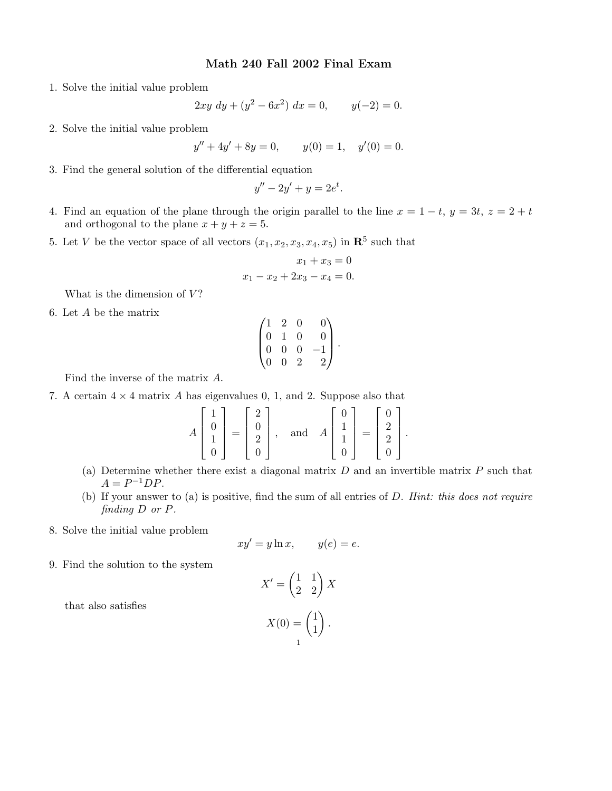## Math 240 Fall 2002 Final Exam

1. Solve the initial value problem

$$
2xy\ dy + (y^2 - 6x^2)\ dx = 0, \qquad y(-2) = 0.
$$

2. Solve the initial value problem

$$
y'' + 4y' + 8y = 0, \t y(0) = 1, \t y'(0) = 0.
$$

3. Find the general solution of the differential equation

$$
y'' - 2y' + y = 2e^t.
$$

- 4. Find an equation of the plane through the origin parallel to the line  $x = 1 t$ ,  $y = 3t$ ,  $z = 2 + t$ and orthogonal to the plane  $x + y + z = 5$ .
- 5. Let V be the vector space of all vectors  $(x_1, x_2, x_3, x_4, x_5)$  in  $\mathbb{R}^5$  such that

$$
x_1 + x_3 = 0
$$
  

$$
x_1 - x_2 + 2x_3 - x_4 = 0.
$$

What is the dimension of  $V$ ?

6. Let A be the matrix

$$
\begin{pmatrix} 1 & 2 & 0 & 0 \\ 0 & 1 & 0 & 0 \\ 0 & 0 & 0 & -1 \\ 0 & 0 & 2 & 2 \end{pmatrix}.
$$

Find the inverse of the matrix A.

7. A certain  $4 \times 4$  matrix A has eigenvalues 0, 1, and 2. Suppose also that

$$
A\begin{bmatrix} 1\\0\\1\\0 \end{bmatrix} = \begin{bmatrix} 2\\0\\2\\0 \end{bmatrix}, \text{ and } A\begin{bmatrix} 0\\1\\1\\0 \end{bmatrix} = \begin{bmatrix} 0\\2\\2\\0 \end{bmatrix}
$$

(a) Determine whether there exist a diagonal matrix  $D$  and an invertible matrix  $P$  such that  $A = P^{-1}DP$ .

.

- (b) If your answer to (a) is positive, find the sum of all entries of D. Hint: this does not require finding D or P.
- 8. Solve the initial value problem

$$
xy' = y \ln x, \qquad y(e) = e.
$$

9. Find the solution to the system

$$
X' = \begin{pmatrix} 1 & 1 \\ 2 & 2 \end{pmatrix} X
$$

$$
X(0) = \begin{pmatrix} 1 \\ 1 \end{pmatrix}.
$$

that also satisfies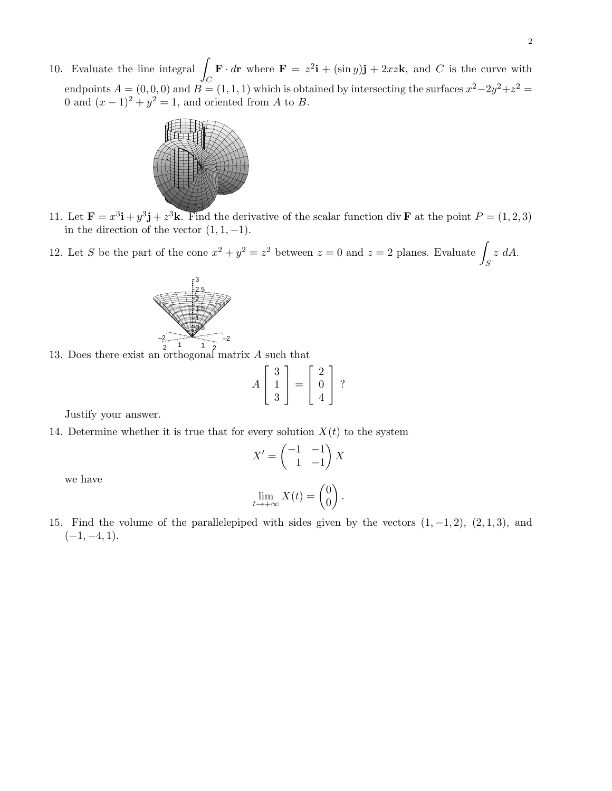10. Evaluate the line integral  $\int_C \mathbf{F} \cdot d\mathbf{r}$  where  $\mathbf{F} = z^2 \mathbf{i} + (\sin y) \mathbf{j} + 2xz \mathbf{k}$ , and C is the curve with endpoints  $A = (0,0,0)$  and  $B = (1,1,1)$  which is obtained by intersecting the surfaces  $x^2-2y^2+z^2 =$ 0 and  $(x-1)^2 + y^2 = 1$ , and oriented from A to B.



- 11. Let  $\mathbf{F} = x^3 \mathbf{i} + y^3 \mathbf{j} + z^3 \mathbf{k}$ . Find the derivative of the scalar function div **F** at the point  $P = (1, 2, 3)$ in the direction of the vector  $(1, 1, -1)$ .
- 12. Let S be the part of the cone  $x^2 + y^2 = z^2$  between  $z = 0$  and  $z = 2$  planes. Evaluate  $\int_S z \ dA$ .



13. Does there exist an orthogonal matrix A such that

$$
A\left[\begin{array}{c}3\\1\\3\end{array}\right]=\left[\begin{array}{c}2\\0\\4\end{array}\right]
$$
?

Justify your answer.

14. Determine whether it is true that for every solution  $X(t)$  to the system

$$
X' = \begin{pmatrix} -1 & -1 \\ 1 & -1 \end{pmatrix} X
$$

we have

$$
\lim_{t \to +\infty} X(t) = \begin{pmatrix} 0 \\ 0 \end{pmatrix}.
$$

15. Find the volume of the parallelepiped with sides given by the vectors  $(1, -1, 2)$ ,  $(2, 1, 3)$ , and  $(-1, -4, 1).$